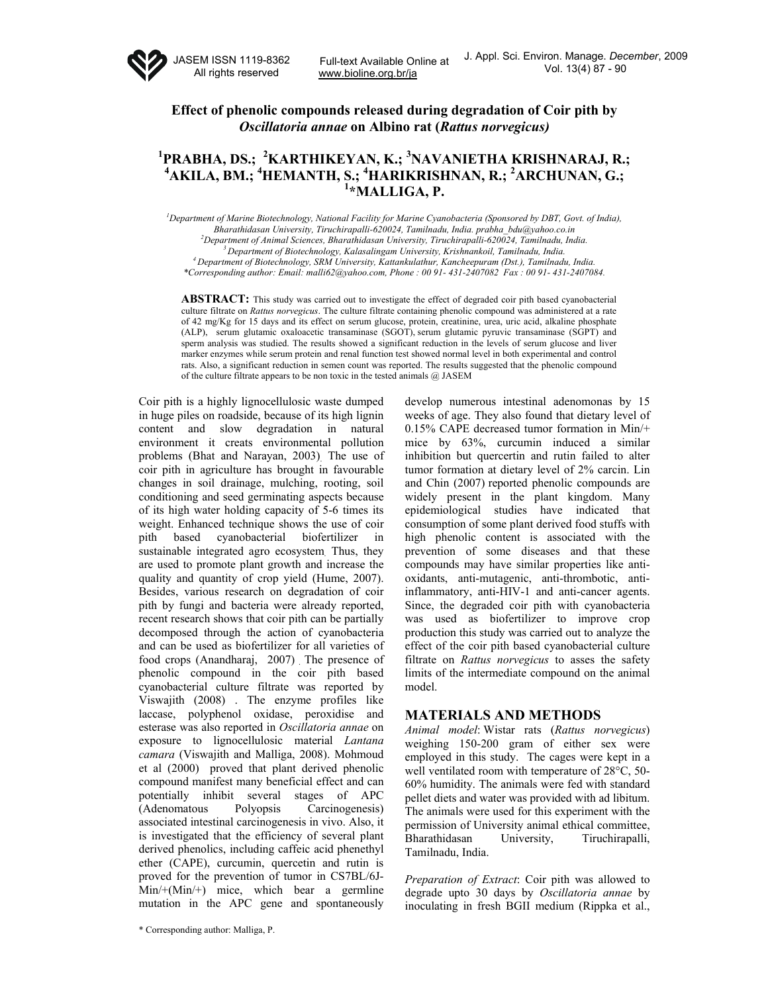

JASEM ISSN 1119-8362 All rights reserved

www.bioline.org.br/ja

## **Effect of phenolic compounds released during degradation of Coir pith by**  *Oscillatoria annae* **on Albino rat (***Rattus norvegicus)*

# <sup>1</sup>PRABHA, DS.; <sup>2</sup>KARTHIKEYAN, K.; <sup>3</sup>NAVANIETHA KRISHNARAJ, R.; **4 AKILA, BM.; 4 HEMANTH, S.; <sup>4</sup> HARIKRISHNAN, R.; <sup>2</sup> ARCHUNAN, G.; 1 \*MALLIGA, P.**

<sup>1</sup> Department of Marine Biotechnology, National Facility for Marine Cyanobacteria (Sponsored by DBT, Govt. of India), *Bharathidasan University, Tiruchirapalli-620024, Tamilnadu, India. prabha\_bdu@yahoo.co.in 2* <sup>3</sup> Department of Biotechnology, Kalasalingam University, Krishnankoil, Tamilnadu, India.<br><sup>4</sup> Department of Biotechnology, SRM University, Kattankulathur, Kancheepuram (Dst.), Tamilnadu, India.

*\*Corresponding author: Email: malli62@yahoo.com, Phone : 00 91- 431-2407082 Fax : 00 91- 431-2407084.*

**ABSTRACT:** This study was carried out to investigate the effect of degraded coir pith based cyanobacterial culture filtrate on *Rattus norvegicus*. The culture filtrate containing phenolic compound was administered at a rate of 42 mg/Kg for 15 days and its effect on serum glucose, protein, creatinine, urea, uric acid, alkaline phosphate (ALP), serum glutamic oxaloacetic transaminase (SGOT), serum glutamic pyruvic transaminase (SGPT) and sperm analysis was studied. The results showed a significant reduction in the levels of serum glucose and liver marker enzymes while serum protein and renal function test showed normal level in both experimental and control rats. Also, a significant reduction in semen count was reported. The results suggested that the phenolic compound of the culture filtrate appears to be non toxic in the tested animals @ JASEM

Coir pith is a highly lignocellulosic waste dumped in huge piles on roadside, because of its high lignin content and slow degradation in natural environment it creats environmental pollution problems (Bhat and Narayan, 2003). The use of coir pith in agriculture has brought in favourable changes in soil drainage, mulching, rooting, soil conditioning and seed germinating aspects because of its high water holding capacity of 5-6 times its weight. Enhanced technique shows the use of coir pith based cyanobacterial biofertilizer in sustainable integrated agro ecosystem. Thus, they are used to promote plant growth and increase the quality and quantity of crop yield (Hume, 2007). Besides, various research on degradation of coir pith by fungi and bacteria were already reported, recent research shows that coir pith can be partially decomposed through the action of cyanobacteria and can be used as biofertilizer for all varieties of food crops (Anandharaj, 2007) The presence of phenolic compound in the coir pith based cyanobacterial culture filtrate was reported by Viswajith (2008) . The enzyme profiles like laccase, polyphenol oxidase, peroxidise and esterase was also reported in *Oscillatoria annae* on exposure to lignocellulosic material *Lantana camara* (Viswajith and Malliga, 2008). Mohmoud et al (2000) proved that plant derived phenolic compound manifest many beneficial effect and can potentially inhibit several stages of APC (Adenomatous Polyopsis Carcinogenesis) associated intestinal carcinogenesis in vivo. Also, it is investigated that the efficiency of several plant derived phenolics, including caffeic acid phenethyl ether (CAPE), curcumin, quercetin and rutin is proved for the prevention of tumor in CS7BL/6J-Min/+(Min/+) mice, which bear a germline mutation in the APC gene and spontaneously

develop numerous intestinal adenomonas by 15 weeks of age. They also found that dietary level of 0.15% CAPE decreased tumor formation in Min/+ mice by 63%, curcumin induced a similar inhibition but quercertin and rutin failed to alter tumor formation at dietary level of 2% carcin. Lin and Chin (2007) reported phenolic compounds are widely present in the plant kingdom. Many epidemiological studies have indicated that consumption of some plant derived food stuffs with high phenolic content is associated with the prevention of some diseases and that these compounds may have similar properties like antioxidants, anti-mutagenic, anti-thrombotic, antiinflammatory, anti-HIV-1 and anti-cancer agents. Since, the degraded coir pith with cyanobacteria was used as biofertilizer to improve crop production this study was carried out to analyze the effect of the coir pith based cyanobacterial culture filtrate on *Rattus norvegicus* to asses the safety limits of the intermediate compound on the animal model.

#### **MATERIALS AND METHODS**

*Animal model*: Wistar rats (*Rattus norvegicus*) weighing 150-200 gram of either sex were employed in this study. The cages were kept in a well ventilated room with temperature of 28°C, 50- 60% humidity. The animals were fed with standard pellet diets and water was provided with ad libitum. The animals were used for this experiment with the permission of University animal ethical committee, Bharathidasan University, Tiruchirapalli, Tamilnadu, India.

*Preparation of Extract*: Coir pith was allowed to degrade upto 30 days by *Oscillatoria annae* by inoculating in fresh BGII medium (Rippka et al.,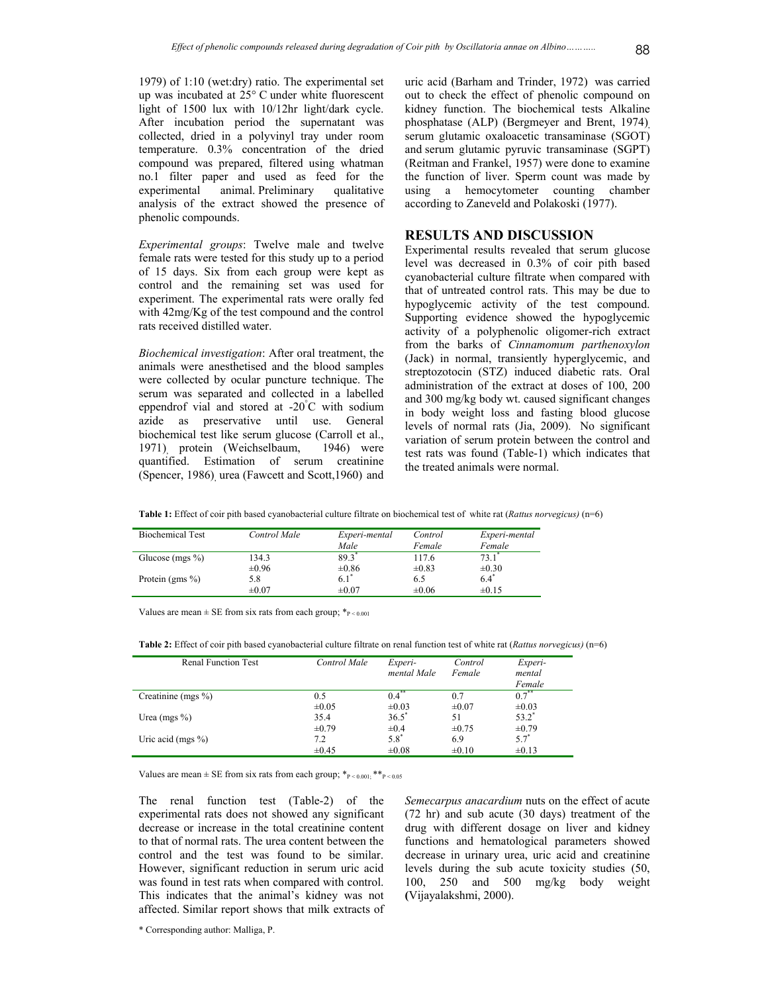1979) of 1:10 (wet:dry) ratio. The experimental set up was incubated at 25° C under white fluorescent light of 1500 lux with 10/12hr light/dark cycle. After incubation period the supernatant was collected, dried in a polyvinyl tray under room temperature. 0.3% concentration of the dried compound was prepared, filtered using whatman no.1 filter paper and used as feed for the experimental animal. Preliminary qualitative analysis of the extract showed the presence of phenolic compounds.

*Experimental groups*: Twelve male and twelve female rats were tested for this study up to a period of 15 days. Six from each group were kept as control and the remaining set was used for experiment. The experimental rats were orally fed with 42mg/Kg of the test compound and the control rats received distilled water.

*Biochemical investigation*: After oral treatment, the animals were anesthetised and the blood samples were collected by ocular puncture technique. The serum was separated and collected in a labelled eppendrof vial and stored at -20° C with sodium azide as preservative until use. General biochemical test like serum glucose (Carroll et al., 1971) protein (Weichselbaum, 1946) were quantified. Estimation of serum creatinine (Spencer, 1986), urea (Fawcett and Scott,1960) and

uric acid (Barham and Trinder, 1972) was carried out to check the effect of phenolic compound on kidney function. The biochemical tests Alkaline phosphatase (ALP) (Bergmeyer and Brent, 1974) serum glutamic oxaloacetic transaminase (SGOT) and serum glutamic pyruvic transaminase (SGPT) (Reitman and Frankel, 1957) were done to examine the function of liver. Sperm count was made by using a hemocytometer counting chamber according to Zaneveld and Polakoski (1977).

### **RESULTS AND DISCUSSION**

Experimental results revealed that serum glucose level was decreased in 0.3% of coir pith based cyanobacterial culture filtrate when compared with that of untreated control rats. This may be due to hypoglycemic activity of the test compound. Supporting evidence showed the hypoglycemic activity of a polyphenolic oligomer-rich extract from the barks of *Cinnamomum parthenoxylon* (Jack) in normal, transiently hyperglycemic, and streptozotocin (STZ) induced diabetic rats. Oral administration of the extract at doses of 100, 200 and 300 mg/kg body wt. caused significant changes in body weight loss and fasting blood glucose levels of normal rats (Jia, 2009). No significant variation of serum protein between the control and test rats was found (Table-1) which indicates that the treated animals were normal.

**Table 1:** Effect of coir pith based cyanobacterial culture filtrate on biochemical test of white rat (*Rattus norvegicus)* (n=6)

| <b>Biochemical Test</b> | Control Male | Experi-mental   | Control    | Experi-mental |
|-------------------------|--------------|-----------------|------------|---------------|
|                         |              | Male            | Female     | Female        |
| Glucose (mgs $\%$ )     | 134.3        | 89.3"           | 117.6      | 73.1          |
|                         | $\pm 0.96$   | $\pm 0.86$      | $\pm 0.83$ | $\pm 0.30$    |
| Protein (gms $\%$ )     | 5.8          | $6.1^{\degree}$ | 6.5        | $6.4^*$       |
|                         | $\pm 0.07$   | $\pm 0.07$      | $\pm 0.06$ | $\pm 0.15$    |

Values are mean  $\pm$  SE from six rats from each group;  $*_{P \le 0.001}$ 

|  |  |  | <b>Table 2:</b> Effect of coir pith based cyanobacterial culture filtrate on renal function test of white rat (Rattus norvegicus) ( $n=6$ ) |
|--|--|--|---------------------------------------------------------------------------------------------------------------------------------------------|
|--|--|--|---------------------------------------------------------------------------------------------------------------------------------------------|

| <b>Renal Function Test</b> | Control Male | Experi-<br>mental Male | Control<br>Female | Experi-<br>mental<br>Female |
|----------------------------|--------------|------------------------|-------------------|-----------------------------|
| Creatinine (mgs $\%$ )     | 0.5          | $0.4^{**}$             | 0.7               | $0.7^{**}$                  |
|                            | $\pm 0.05$   | $\pm 0.03$             | $\pm 0.07$        | $\pm 0.03$                  |
| Urea (mgs $\%$ )           | 35.4         | $36.5^*$               | 51                | $53.2^*$                    |
|                            | $\pm 0.79$   | $\pm 0.4$              | $\pm 0.75$        | $\pm 0.79$                  |
| Uric acid (mgs $\%$ )      | 7.2          | $5.8^{\circ}$          | 6.9               | $5.7^*$                     |
|                            | $\pm 0.45$   | $\pm 0.08$             | $\pm 0.10$        | $\pm 0.13$                  |

Values are mean  $\pm$  SE from six rats from each group; \* $P_{P \le 0.001}$  \*\* $P_{P \le 0.05}$ 

The renal function test (Table-2) of the experimental rats does not showed any significant decrease or increase in the total creatinine content to that of normal rats. The urea content between the control and the test was found to be similar. However, significant reduction in serum uric acid was found in test rats when compared with control. This indicates that the animal's kidney was not affected. Similar report shows that milk extracts of

*Semecarpus anacardium* nuts on the effect of acute (72 hr) and sub acute (30 days) treatment of the drug with different dosage on liver and kidney functions and hematological parameters showed decrease in urinary urea, uric acid and creatinine levels during the sub acute toxicity studies (50, 100, 250 and 500 mg/kg body weight **(**Vijayalakshmi, 2000).

\* Corresponding author: Malliga, P.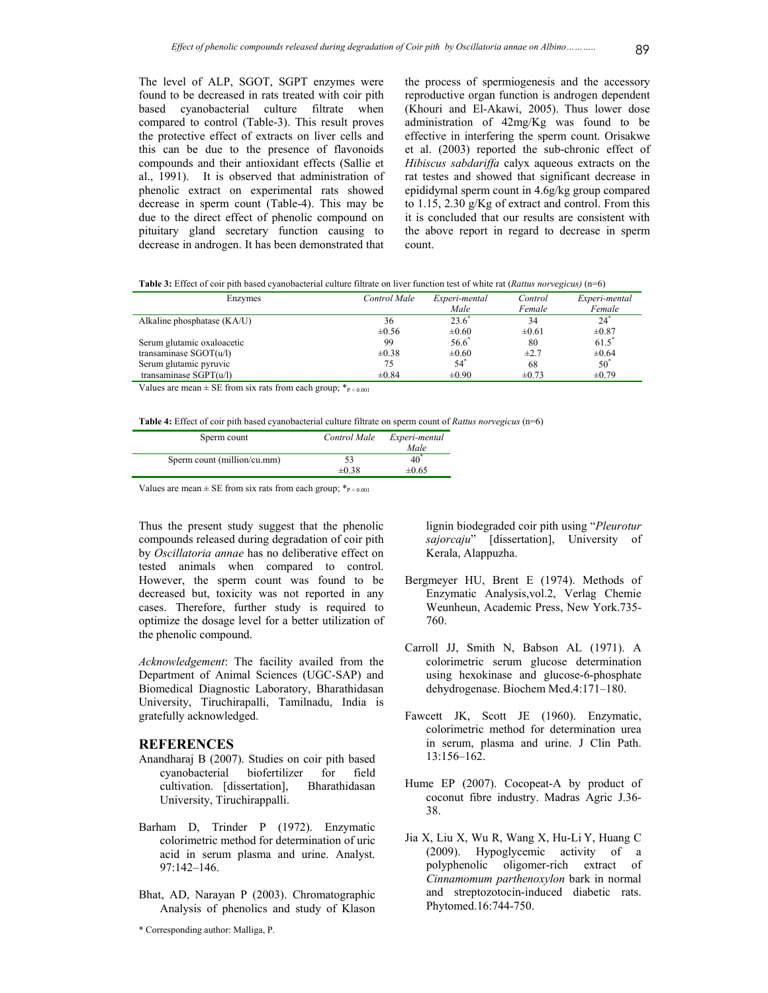The level of ALP, SGOT, SGPT enzymes were found to be decreased in rats treated with coir pith based cyanobacterial culture filtrate when compared to control (Table-3). This result proves the protective effect of extracts on liver cells and this can be due to the presence of flavonoids compounds and their antioxidant effects (Sallie et al., 1991). It is observed that administration of phenolic extract on experimental rats showed decrease in sperm count (Table-4). This may be due to the direct effect of phenolic compound on pituitary gland secretary function causing to decrease in androgen. It has been demonstrated that

the process of spermiogenesis and the accessory reproductive organ function is androgen dependent (Khouri and El-Akawi, 2005). Thus lower dose administration of 42mg/Kg was found to be effective in interfering the sperm count. Orisakwe et al. (2003) reported the sub-chronic effect of *Hibiscus sabdariffa* calyx aqueous extracts on the rat testes and showed that significant decrease in epididymal sperm count in 4.6g/kg group compared to 1.15, 2.30 g/Kg of extract and control. From this it is concluded that our results are consistent with the above report in regard to decrease in sperm count.

**Table 3:** Effect of coir pith based cyanobacterial culture filtrate on liver function test of white rat (*Rattus norvegicus)* (n=6)

| Enzymes                     | Control Male | Experi-mental | Control    | Experi-mental |
|-----------------------------|--------------|---------------|------------|---------------|
|                             |              | Male          | Female     | Female        |
| Alkaline phosphatase (KA/U) | 36           | 23.6          | 34         | 24            |
|                             | $\pm 0.56$   | $\pm 0.60$    | $\pm 0.61$ | $\pm 0.87$    |
| Serum glutamic oxaloacetic  | 99           | 56.6          | 80         | 61.5          |
| transaminase $SGOT(u/l)$    | $\pm 0.38$   | $\pm 0.60$    | $\pm 2.7$  | $\pm 0.64$    |
| Serum glutamic pyruvic      | 75           | 54"           | 68         | $50^{\circ}$  |
| transaminase $SGPT(u/l)$    | $\pm 0.84$   | $\pm 0.90$    | $\pm 0.73$ | $\pm 0.79$    |

Values are mean  $\pm$  SE from six rats from each group;  $*_{P \le 0.001}$ 

| Sperm count                 | Control Male | Experi-mental<br>Male |
|-----------------------------|--------------|-----------------------|
| Sperm count (million/cu.mm) |              | 40                    |
|                             | $\pm 0.38$   | $\pm 0.65$            |

Values are mean  $\pm$  SE from six rats from each group;  $*_{P \le 0.001}$ 

Thus the present study suggest that the phenolic compounds released during degradation of coir pith by *Oscillatoria annae* has no deliberative effect on tested animals when compared to control. However, the sperm count was found to be decreased but, toxicity was not reported in any cases. Therefore, further study is required to optimize the dosage level for a better utilization of the phenolic compound.

*Acknowledgement*: The facility availed from the Department of Animal Sciences (UGC-SAP) and Biomedical Diagnostic Laboratory, Bharathidasan University, Tiruchirapalli, Tamilnadu, India is gratefully acknowledged.

#### **REFERENCES**

- Anandharaj B (2007). Studies on coir pith based cyanobacterial biofertilizer for field cultivation. [dissertation], Bharathidasan University, Tiruchirappalli.
- Barham D, Trinder P (1972). Enzymatic colorimetric method for determination of uric acid in serum plasma and urine. Analyst. 97:142–146.
- Bhat, AD, Narayan P (2003). Chromatographic Analysis of phenolics and study of Klason

lignin biodegraded coir pith using "*Pleurotur sajorcaju*" [dissertation], University of Kerala, Alappuzha.

- Bergmeyer HU, Brent E (1974). Methods of Enzymatic Analysis,vol.2, Verlag Chemie Weunheun, Academic Press, New York.735- 760.
- Carroll JJ, Smith N, Babson AL (1971). A colorimetric serum glucose determination using hexokinase and glucose-6-phosphate dehydrogenase. Biochem Med.4:171–180.
- Fawcett JK, Scott JE (1960). Enzymatic, colorimetric method for determination urea in serum, plasma and urine. J Clin Path. 13:156–162.
- Hume EP (2007). Cocopeat-A by product of coconut fibre industry. Madras Agric J.36- 38.
- Jia X, Liu X, Wu R, Wang X, Hu-Li Y, Huang C (2009). Hypoglycemic activity of a polyphenolic oligomer-rich extract of *Cinnamomum parthenoxylon* bark in normal and streptozotocin-induced diabetic rats. Phytomed.16:744-750.